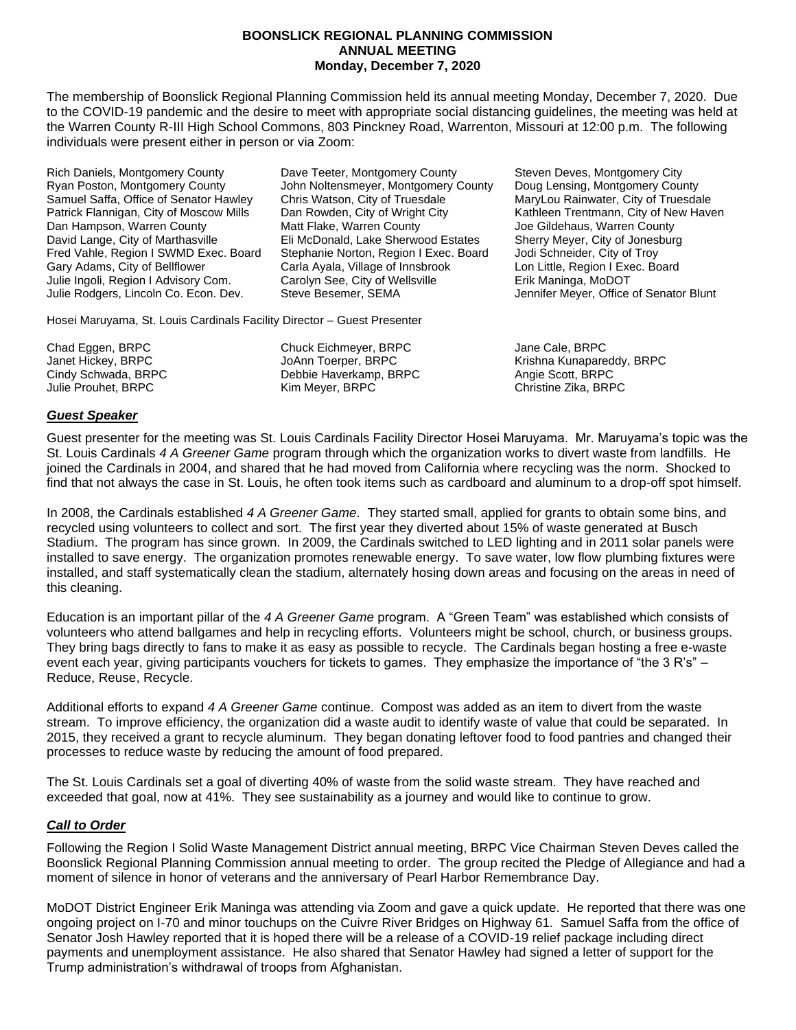#### **BOONSLICK REGIONAL PLANNING COMMISSION ANNUAL MEETING Monday, December 7, 2020**

The membership of Boonslick Regional Planning Commission held its annual meeting Monday, December 7, 2020. Due to the COVID-19 pandemic and the desire to meet with appropriate social distancing guidelines, the meeting was held at the Warren County R-III High School Commons, 803 Pinckney Road, Warrenton, Missouri at 12:00 p.m. The following individuals were present either in person or via Zoom:

Rich Daniels, Montgomery County **Dave Teeter, Montgomery County** Steven Deves, Montgomery City Ryan Poston, Montgomery County Form Noltensmeyer, Montgomery County Foug Lensing, Montgomery County<br>Samuel Saffa, Office of Senator Hawley Form Chris Watson, City of Truesdale Form MaryLou Rainwater, City of Truesda Patrick Flannigan, City of Moscow Mills Dan Rowden, City of Wright City Kathleen Trentmann, City of New Haven Dan Hampson, Warren County **Matt Flake, Warren County Conty** Joe Gildehaus, Warren County David Lange, City of Marthasville **Eli McDonald, Lake Sherwood Estates** Sherry Meyer, City of Jonesburg Fred Vahle, Region I SWMD Exec. Board Stephanie Norton, Region I Exec. Board Jodi Schneider, City of Troy Gary Adams, City of Bellflower Carla Ayala, Village of Innsbrook Lon Little, Region I Exec. Board Julie Ingoli, Region I Advisory Com. Carolyn See, City of Wellsville Erik Maninga, MoDOT Julie Rodgers, Lincoln Co. Econ. Dev. Steve Besemer, SEMA Jennifer Meyer, Office of Senator Blunt

Hosei Maruyama, St. Louis Cardinals Facility Director – Guest Presenter

Chad Eggen, BRPC Chuck Eichmeyer, BRPC Jane Cale, BRPC Cindy Schwada, BRPC Debbie Haverkamp, BRPC Angie Scott, BRPC Julie Prouhet, BRPC Kim Meyer, BRPC Christine Zika, BRPC

MaryLou Rainwater, City of Truesdale

Janet Hickey, BRPC JoAnn Toerper, BRPC Krishna Kunapareddy, BRPC

# *Guest Speaker*

Guest presenter for the meeting was St. Louis Cardinals Facility Director Hosei Maruyama. Mr. Maruyama's topic was the St. Louis Cardinals *4 A Greener Game* program through which the organization works to divert waste from landfills. He joined the Cardinals in 2004, and shared that he had moved from California where recycling was the norm. Shocked to find that not always the case in St. Louis, he often took items such as cardboard and aluminum to a drop-off spot himself.

In 2008, the Cardinals established *4 A Greener Game*. They started small, applied for grants to obtain some bins, and recycled using volunteers to collect and sort. The first year they diverted about 15% of waste generated at Busch Stadium. The program has since grown. In 2009, the Cardinals switched to LED lighting and in 2011 solar panels were installed to save energy. The organization promotes renewable energy. To save water, low flow plumbing fixtures were installed, and staff systematically clean the stadium, alternately hosing down areas and focusing on the areas in need of this cleaning.

Education is an important pillar of the *4 A Greener Game* program. A "Green Team" was established which consists of volunteers who attend ballgames and help in recycling efforts. Volunteers might be school, church, or business groups. They bring bags directly to fans to make it as easy as possible to recycle. The Cardinals began hosting a free e-waste event each year, giving participants vouchers for tickets to games. They emphasize the importance of "the 3 R's" – Reduce, Reuse, Recycle.

Additional efforts to expand *4 A Greener Game* continue. Compost was added as an item to divert from the waste stream. To improve efficiency, the organization did a waste audit to identify waste of value that could be separated. In 2015, they received a grant to recycle aluminum. They began donating leftover food to food pantries and changed their processes to reduce waste by reducing the amount of food prepared.

The St. Louis Cardinals set a goal of diverting 40% of waste from the solid waste stream. They have reached and exceeded that goal, now at 41%. They see sustainability as a journey and would like to continue to grow.

## *Call to Order*

Following the Region I Solid Waste Management District annual meeting, BRPC Vice Chairman Steven Deves called the Boonslick Regional Planning Commission annual meeting to order. The group recited the Pledge of Allegiance and had a moment of silence in honor of veterans and the anniversary of Pearl Harbor Remembrance Day.

MoDOT District Engineer Erik Maninga was attending via Zoom and gave a quick update. He reported that there was one ongoing project on I-70 and minor touchups on the Cuivre River Bridges on Highway 61. Samuel Saffa from the office of Senator Josh Hawley reported that it is hoped there will be a release of a COVID-19 relief package including direct payments and unemployment assistance. He also shared that Senator Hawley had signed a letter of support for the Trump administration's withdrawal of troops from Afghanistan.